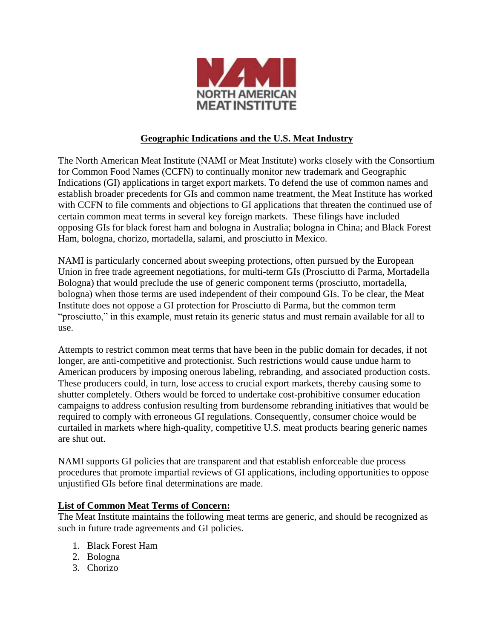

## **Geographic Indications and the U.S. Meat Industry**

The North American Meat Institute (NAMI or Meat Institute) works closely with the Consortium for Common Food Names (CCFN) to continually monitor new trademark and Geographic Indications (GI) applications in target export markets. To defend the use of common names and establish broader precedents for GIs and common name treatment, the Meat Institute has worked with CCFN to file comments and objections to GI applications that threaten the continued use of certain common meat terms in several key foreign markets. These filings have included opposing GIs for black forest ham and bologna in Australia; bologna in China; and Black Forest Ham, bologna, chorizo, mortadella, salami, and prosciutto in Mexico.

NAMI is particularly concerned about sweeping protections, often pursued by the European Union in free trade agreement negotiations, for multi-term GIs (Prosciutto di Parma, Mortadella Bologna) that would preclude the use of generic component terms (prosciutto, mortadella, bologna) when those terms are used independent of their compound GIs. To be clear, the Meat Institute does not oppose a GI protection for Prosciutto di Parma, but the common term "prosciutto," in this example, must retain its generic status and must remain available for all to use.

Attempts to restrict common meat terms that have been in the public domain for decades, if not longer, are anti-competitive and protectionist. Such restrictions would cause undue harm to American producers by imposing onerous labeling, rebranding, and associated production costs. These producers could, in turn, lose access to crucial export markets, thereby causing some to shutter completely. Others would be forced to undertake cost-prohibitive consumer education campaigns to address confusion resulting from burdensome rebranding initiatives that would be required to comply with erroneous GI regulations. Consequently, consumer choice would be curtailed in markets where high-quality, competitive U.S. meat products bearing generic names are shut out.

NAMI supports GI policies that are transparent and that establish enforceable due process procedures that promote impartial reviews of GI applications, including opportunities to oppose unjustified GIs before final determinations are made.

## **List of Common Meat Terms of Concern:**

The Meat Institute maintains the following meat terms are generic, and should be recognized as such in future trade agreements and GI policies.

- 1. Black Forest Ham
- 2. Bologna
- 3. Chorizo